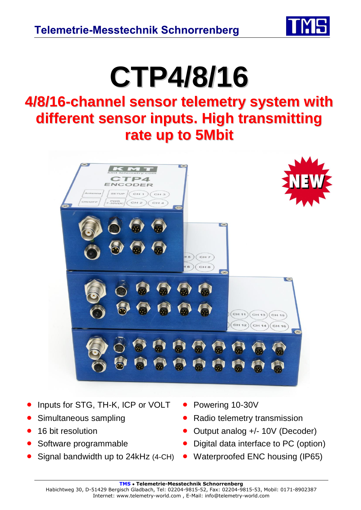

## **CTP4/8/16**

## **4/8/16-channel sensor telemetry system with different sensor inputs. High transmitting rate up to 5Mbit**



- Inputs for STG, TH-K, ICP or VOLT Powering 10-30V
- 
- 
- 
- 
- 
- Simultaneous sampling **CELC CELC CELC CELC** Radio telemetry transmission
- 16 bit resolution **CELC COUTF** COULDUIT Analog +/- 10V (Decoder)
- Software programmable **•** Digital data interface to PC (option)
- Signal bandwidth up to 24kHz (4-CH) Waterproofed ENC housing (IP65)

**TMS** • **Telemetrie-Messtechnik Schnorrenberg**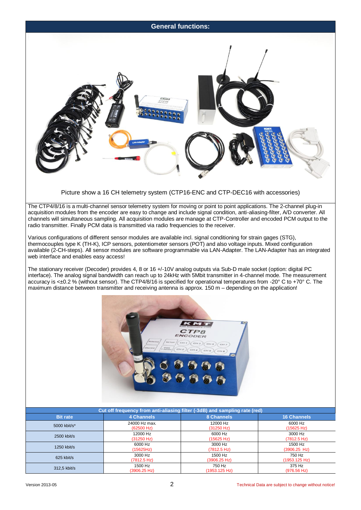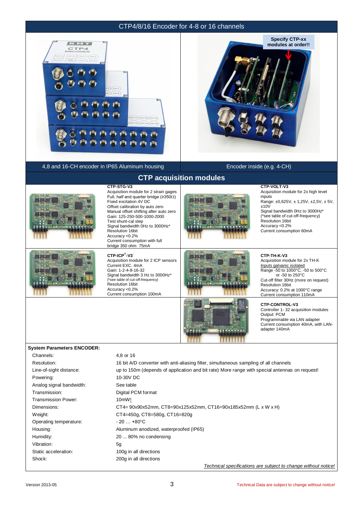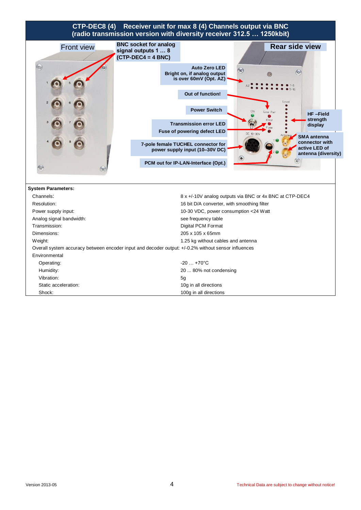## **CTP-DEC8 (4) Receiver unit for max 8 (4) Channels output via BNC (radio transmission version with diversity receiver 312.5 … 1250kbit)**

| <b>Front view</b>                                                                                   | <b>BNC socket for analog</b><br>signal outputs 1  8 |                                                                               |                                                         | <b>Rear side view</b>                                  |  |  |  |
|-----------------------------------------------------------------------------------------------------|-----------------------------------------------------|-------------------------------------------------------------------------------|---------------------------------------------------------|--------------------------------------------------------|--|--|--|
|                                                                                                     | $(CTP-DEC4 = 4 BNC)$                                |                                                                               |                                                         |                                                        |  |  |  |
| $\left(\mathbf{r}\right)$                                                                           |                                                     | <b>Auto Zero LED</b><br>Bright on, if analog output<br>is over 60mV (Opt. AZ) | $(\mathbf{x})$                                          | (Cor                                                   |  |  |  |
|                                                                                                     |                                                     | Out of function!                                                              |                                                         | Level                                                  |  |  |  |
|                                                                                                     |                                                     | <b>Power Switch</b>                                                           |                                                         | <b>HF-Field</b>                                        |  |  |  |
|                                                                                                     |                                                     | <b>Transmission error LED</b><br>Fuse of powering defect LED                  | DC 10-30                                                | strength<br>display<br><b>SMA</b> antenna              |  |  |  |
|                                                                                                     |                                                     | 7-pole female TUCHEL connector for<br>power supply input (10-30V DC)          |                                                         | connector with<br>active LED of<br>antenna (diversity) |  |  |  |
|                                                                                                     |                                                     | PCM out for IP-LAN-Interface (Opt.)                                           |                                                         |                                                        |  |  |  |
| <b>System Parameters:</b>                                                                           |                                                     |                                                                               |                                                         |                                                        |  |  |  |
| Channels:                                                                                           |                                                     |                                                                               | 8 x +/-10V analog outputs via BNC or 4x BNC at CTP-DEC4 |                                                        |  |  |  |
| Resolution:                                                                                         |                                                     | 16 bit D/A converter, with smoothing filter                                   |                                                         |                                                        |  |  |  |
| Power supply input:                                                                                 |                                                     | 10-30 VDC, power consumption <24 Watt                                         |                                                         |                                                        |  |  |  |
| Analog signal bandwidth:                                                                            |                                                     | see frequency table                                                           |                                                         |                                                        |  |  |  |
| Transmission:                                                                                       | <b>Digital PCM Format</b>                           |                                                                               |                                                         |                                                        |  |  |  |
| Dimensions:                                                                                         | 205 x 105 x 65mm                                    |                                                                               |                                                         |                                                        |  |  |  |
| Weight:                                                                                             | 1.25 kg without cables and antenna                  |                                                                               |                                                         |                                                        |  |  |  |
| Overall system accuracy between encoder input and decoder output: +/-0.2% without sensor influences |                                                     |                                                                               |                                                         |                                                        |  |  |  |
| Environmental                                                                                       |                                                     |                                                                               |                                                         |                                                        |  |  |  |
| Operating:                                                                                          |                                                     | $-20$ $+70^{\circ}$ C                                                         |                                                         |                                                        |  |  |  |
| Humidity:                                                                                           |                                                     | 20  80% not condensing                                                        |                                                         |                                                        |  |  |  |
| Vibration:                                                                                          |                                                     | 5g                                                                            |                                                         |                                                        |  |  |  |
| Static acceleration:                                                                                |                                                     | 10g in all directions                                                         |                                                         |                                                        |  |  |  |
| Shock:                                                                                              |                                                     | 100g in all directions                                                        |                                                         |                                                        |  |  |  |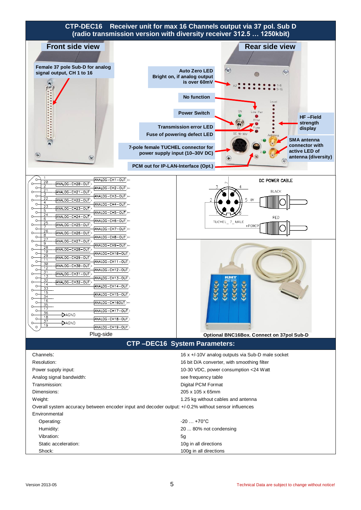

| -20 … +70°C            |
|------------------------|
| 20  80% not condensing |
| 5g                     |
| 10g in all directions  |
| 100g in all directions |
|                        |